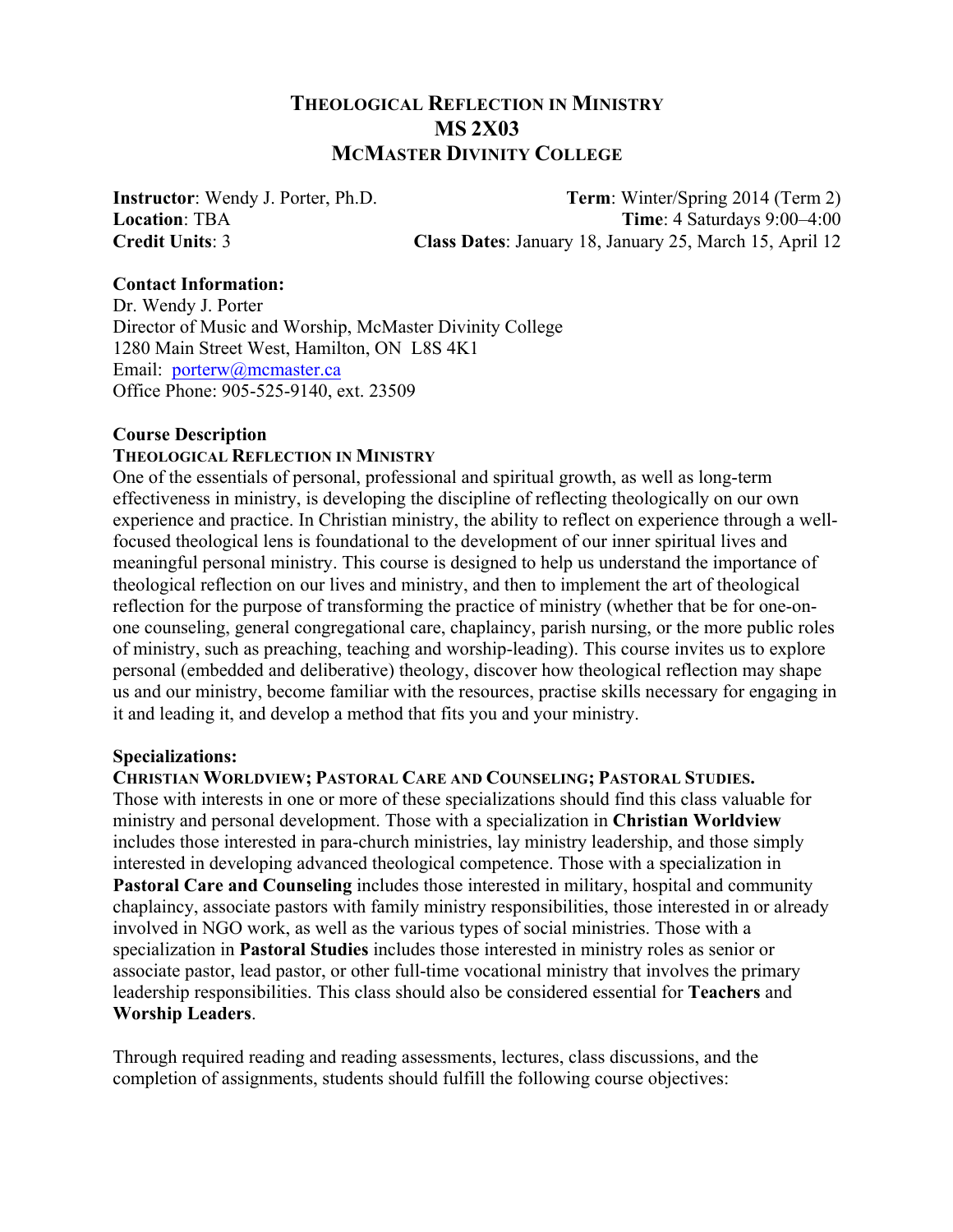# **THEOLOGICAL REFLECTION IN MINISTRY MS 2X03 MCMASTER DIVINITY COLLEGE**

**Instructor**: Wendy J. Porter, Ph.D. **Term**: Winter/Spring 2014 (Term 2) **Location**: TBA **Time**: 4 Saturdays 9:00–4:00 **Credit Units**: 3 **Class Dates**: January 18, January 25, March 15, April 12

### **Contact Information:**

Dr. Wendy J. Porter Director of Music and Worship, McMaster Divinity College 1280 Main Street West, Hamilton, ON L8S 4K1 Email: porterw@mcmaster.ca Office Phone: 905-525-9140, ext. 23509

## **Course Description**

## **THEOLOGICAL REFLECTION IN MINISTRY**

One of the essentials of personal, professional and spiritual growth, as well as long-term effectiveness in ministry, is developing the discipline of reflecting theologically on our own experience and practice. In Christian ministry, the ability to reflect on experience through a wellfocused theological lens is foundational to the development of our inner spiritual lives and meaningful personal ministry. This course is designed to help us understand the importance of theological reflection on our lives and ministry, and then to implement the art of theological reflection for the purpose of transforming the practice of ministry (whether that be for one-onone counseling, general congregational care, chaplaincy, parish nursing, or the more public roles of ministry, such as preaching, teaching and worship-leading). This course invites us to explore personal (embedded and deliberative) theology, discover how theological reflection may shape us and our ministry, become familiar with the resources, practise skills necessary for engaging in it and leading it, and develop a method that fits you and your ministry.

### **Specializations:**

**CHRISTIAN WORLDVIEW; PASTORAL CARE AND COUNSELING; PASTORAL STUDIES.** Those with interests in one or more of these specializations should find this class valuable for ministry and personal development. Those with a specialization in **Christian Worldview** includes those interested in para-church ministries, lay ministry leadership, and those simply interested in developing advanced theological competence. Those with a specialization in **Pastoral Care and Counseling** includes those interested in military, hospital and community chaplaincy, associate pastors with family ministry responsibilities, those interested in or already involved in NGO work, as well as the various types of social ministries. Those with a specialization in **Pastoral Studies** includes those interested in ministry roles as senior or associate pastor, lead pastor, or other full-time vocational ministry that involves the primary leadership responsibilities. This class should also be considered essential for **Teachers** and **Worship Leaders**.

Through required reading and reading assessments, lectures, class discussions, and the completion of assignments, students should fulfill the following course objectives: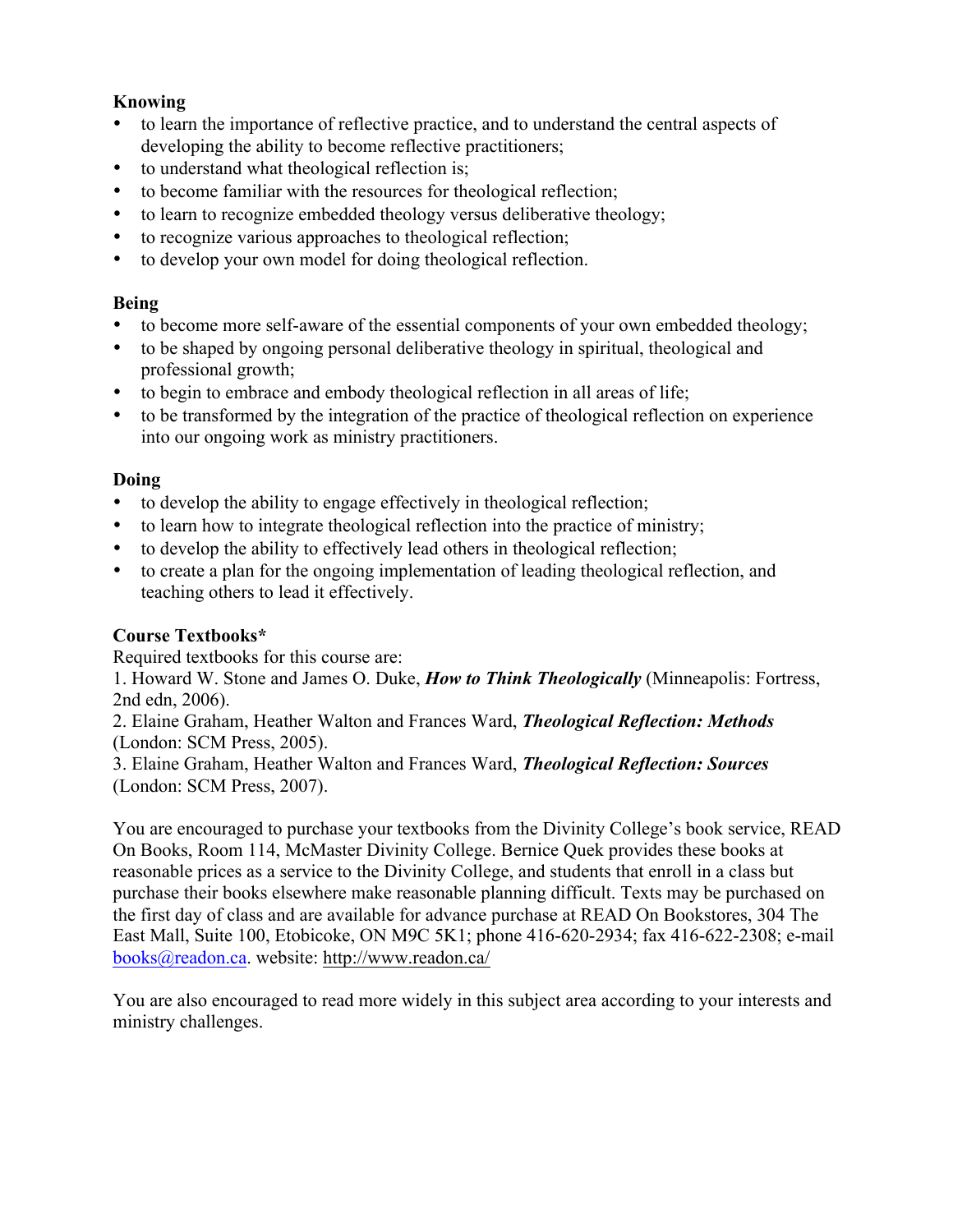# **Knowing**

- to learn the importance of reflective practice, and to understand the central aspects of developing the ability to become reflective practitioners;
- to understand what theological reflection is;
- to become familiar with the resources for theological reflection;
- to learn to recognize embedded theology versus deliberative theology;
- to recognize various approaches to theological reflection;
- to develop your own model for doing theological reflection.

# **Being**

- to become more self-aware of the essential components of your own embedded theology;
- to be shaped by ongoing personal deliberative theology in spiritual, theological and professional growth;
- to begin to embrace and embody theological reflection in all areas of life;
- to be transformed by the integration of the practice of theological reflection on experience into our ongoing work as ministry practitioners.

# **Doing**

- to develop the ability to engage effectively in theological reflection;
- to learn how to integrate theological reflection into the practice of ministry;
- to develop the ability to effectively lead others in theological reflection;
- to create a plan for the ongoing implementation of leading theological reflection, and teaching others to lead it effectively.

# **Course Textbooks\***

Required textbooks for this course are:

1. Howard W. Stone and James O. Duke, *How to Think Theologically* (Minneapolis: Fortress, 2nd edn, 2006).

2. Elaine Graham, Heather Walton and Frances Ward, *Theological Reflection: Methods*  (London: SCM Press, 2005).

3. Elaine Graham, Heather Walton and Frances Ward, *Theological Reflection: Sources*  (London: SCM Press, 2007).

You are encouraged to purchase your textbooks from the Divinity College's book service, READ On Books, Room 114, McMaster Divinity College. Bernice Quek provides these books at reasonable prices as a service to the Divinity College, and students that enroll in a class but purchase their books elsewhere make reasonable planning difficult. Texts may be purchased on the first day of class and are available for advance purchase at READ On Bookstores, 304 The East Mall, Suite 100, Etobicoke, ON M9C 5K1; phone 416-620-2934; fax 416-622-2308; e-mail books@readon.ca. website: http://www.readon.ca/

You are also encouraged to read more widely in this subject area according to your interests and ministry challenges.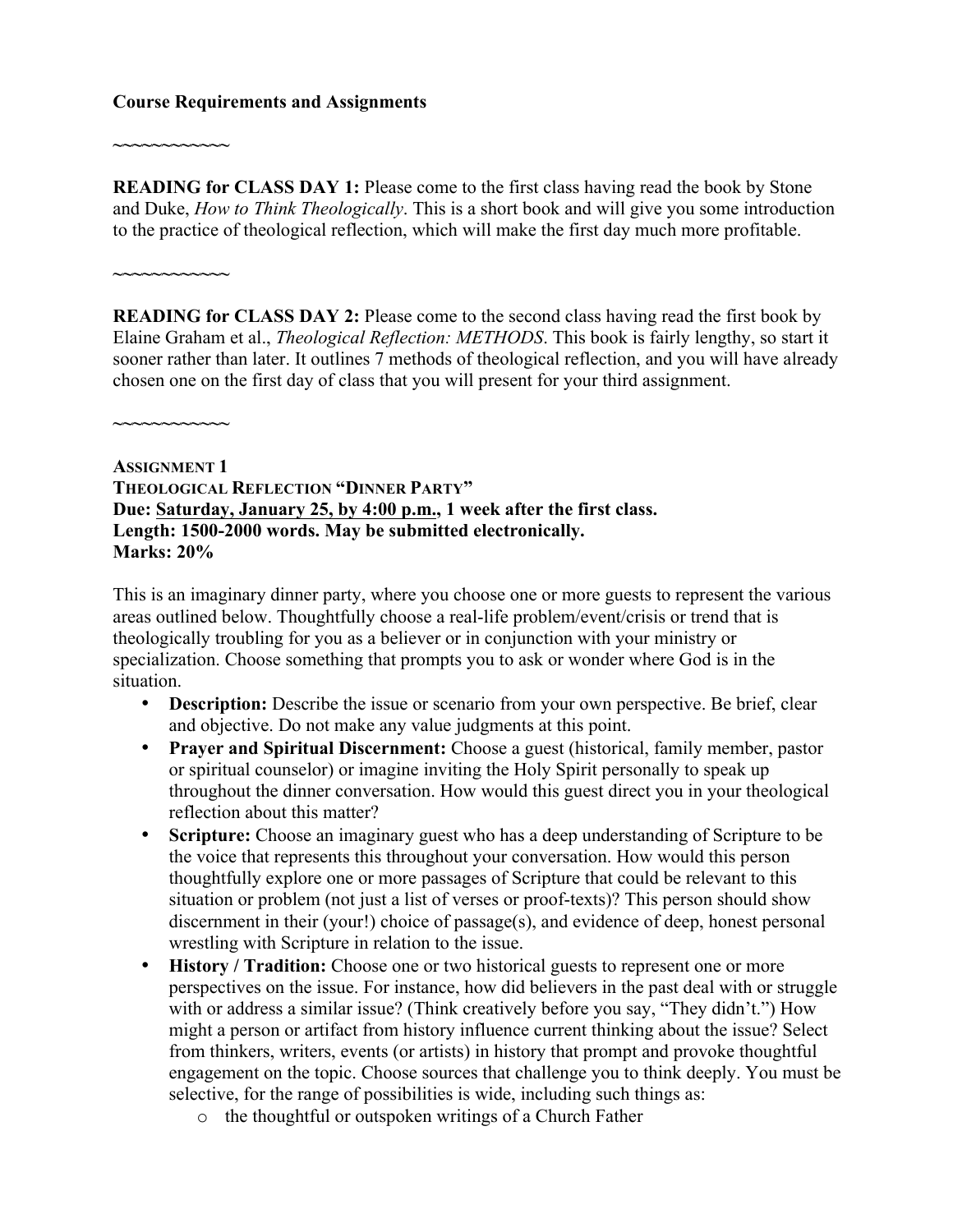### **Course Requirements and Assignments**

**READING for CLASS DAY 1:** Please come to the first class having read the book by Stone and Duke, *How to Think Theologically*. This is a short book and will give you some introduction to the practice of theological reflection, which will make the first day much more profitable.

**READING for CLASS DAY 2:** Please come to the second class having read the first book by Elaine Graham et al., *Theological Reflection: METHODS*. This book is fairly lengthy, so start it sooner rather than later. It outlines 7 methods of theological reflection, and you will have already chosen one on the first day of class that you will present for your third assignment.

**~~~~~~~~~~~~**

**~~~~~~~~~~~~**

**~~~~~~~~~~~~**

**ASSIGNMENT 1 THEOLOGICAL REFLECTION "DINNER PARTY" Due: Saturday, January 25, by 4:00 p.m., 1 week after the first class. Length: 1500-2000 words. May be submitted electronically. Marks: 20%**

This is an imaginary dinner party, where you choose one or more guests to represent the various areas outlined below. Thoughtfully choose a real-life problem/event/crisis or trend that is theologically troubling for you as a believer or in conjunction with your ministry or specialization. Choose something that prompts you to ask or wonder where God is in the situation.

- **Description:** Describe the issue or scenario from your own perspective. Be brief, clear and objective. Do not make any value judgments at this point.
- **Prayer and Spiritual Discernment:** Choose a guest (historical, family member, pastor or spiritual counselor) or imagine inviting the Holy Spirit personally to speak up throughout the dinner conversation. How would this guest direct you in your theological reflection about this matter?
- **Scripture:** Choose an imaginary guest who has a deep understanding of Scripture to be the voice that represents this throughout your conversation. How would this person thoughtfully explore one or more passages of Scripture that could be relevant to this situation or problem (not just a list of verses or proof-texts)? This person should show discernment in their (your!) choice of passage(s), and evidence of deep, honest personal wrestling with Scripture in relation to the issue.
- **History / Tradition:** Choose one or two historical guests to represent one or more perspectives on the issue. For instance, how did believers in the past deal with or struggle with or address a similar issue? (Think creatively before you say, "They didn't.") How might a person or artifact from history influence current thinking about the issue? Select from thinkers, writers, events (or artists) in history that prompt and provoke thoughtful engagement on the topic. Choose sources that challenge you to think deeply. You must be selective, for the range of possibilities is wide, including such things as:
	- o the thoughtful or outspoken writings of a Church Father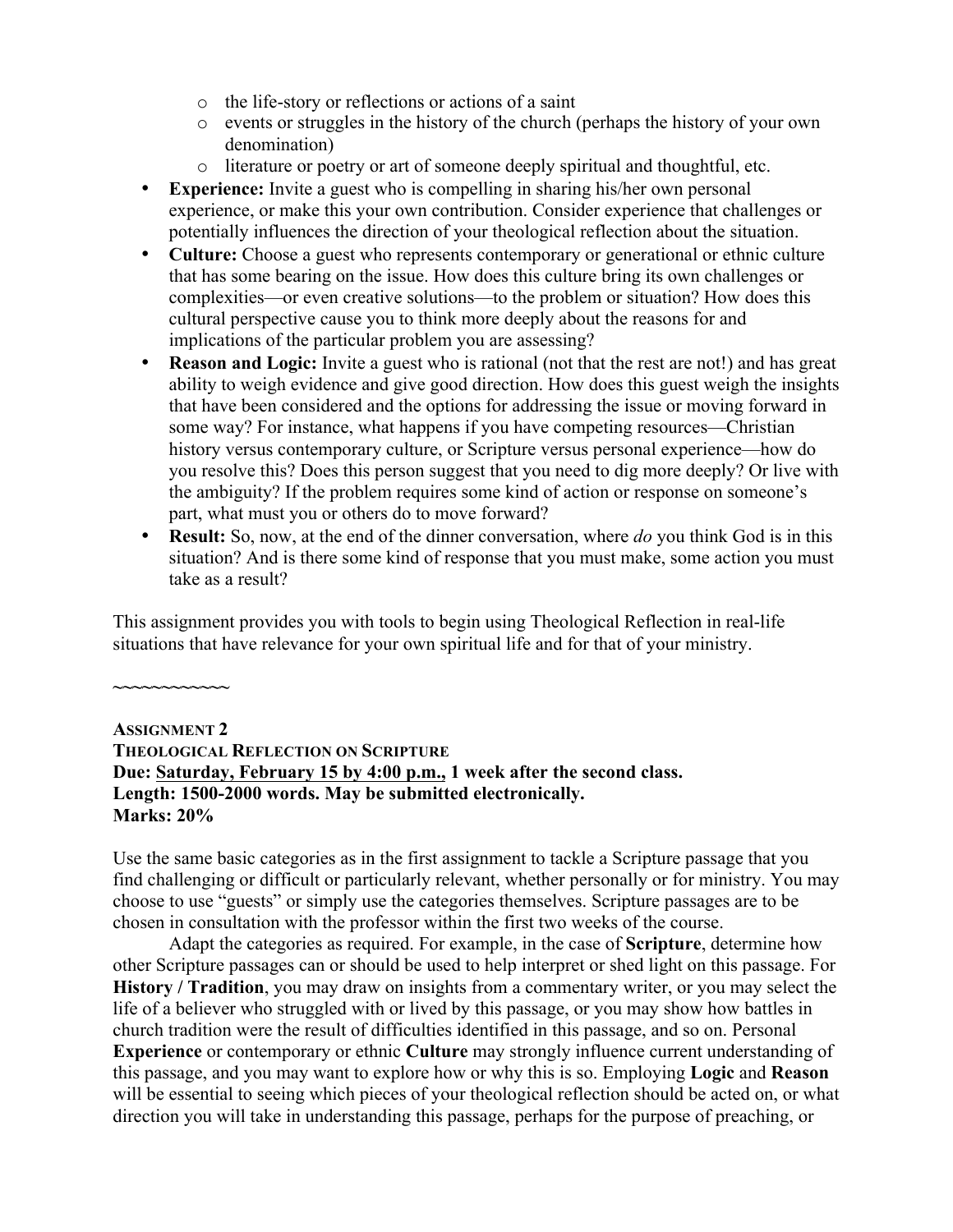- o the life-story or reflections or actions of a saint
- o events or struggles in the history of the church (perhaps the history of your own denomination)
- o literature or poetry or art of someone deeply spiritual and thoughtful, etc.
- **Experience:** Invite a guest who is compelling in sharing his/her own personal experience, or make this your own contribution. Consider experience that challenges or potentially influences the direction of your theological reflection about the situation.
- **Culture:** Choose a guest who represents contemporary or generational or ethnic culture that has some bearing on the issue. How does this culture bring its own challenges or complexities—or even creative solutions—to the problem or situation? How does this cultural perspective cause you to think more deeply about the reasons for and implications of the particular problem you are assessing?
- **Reason and Logic:** Invite a guest who is rational (not that the rest are not!) and has great ability to weigh evidence and give good direction. How does this guest weigh the insights that have been considered and the options for addressing the issue or moving forward in some way? For instance, what happens if you have competing resources—Christian history versus contemporary culture, or Scripture versus personal experience—how do you resolve this? Does this person suggest that you need to dig more deeply? Or live with the ambiguity? If the problem requires some kind of action or response on someone's part, what must you or others do to move forward?
- **Result:** So, now, at the end of the dinner conversation, where *do* you think God is in this situation? And is there some kind of response that you must make, some action you must take as a result?

This assignment provides you with tools to begin using Theological Reflection in real-life situations that have relevance for your own spiritual life and for that of your ministry.

# **ASSIGNMENT 2 THEOLOGICAL REFLECTION ON SCRIPTURE Due: Saturday, February 15 by 4:00 p.m., 1 week after the second class. Length: 1500-2000 words. May be submitted electronically. Marks: 20%**

**~~~~~~~~~~~~**

Use the same basic categories as in the first assignment to tackle a Scripture passage that you find challenging or difficult or particularly relevant, whether personally or for ministry. You may choose to use "guests" or simply use the categories themselves. Scripture passages are to be chosen in consultation with the professor within the first two weeks of the course.

Adapt the categories as required. For example, in the case of **Scripture**, determine how other Scripture passages can or should be used to help interpret or shed light on this passage. For **History / Tradition**, you may draw on insights from a commentary writer, or you may select the life of a believer who struggled with or lived by this passage, or you may show how battles in church tradition were the result of difficulties identified in this passage, and so on. Personal **Experience** or contemporary or ethnic **Culture** may strongly influence current understanding of this passage, and you may want to explore how or why this is so. Employing **Logic** and **Reason** will be essential to seeing which pieces of your theological reflection should be acted on, or what direction you will take in understanding this passage, perhaps for the purpose of preaching, or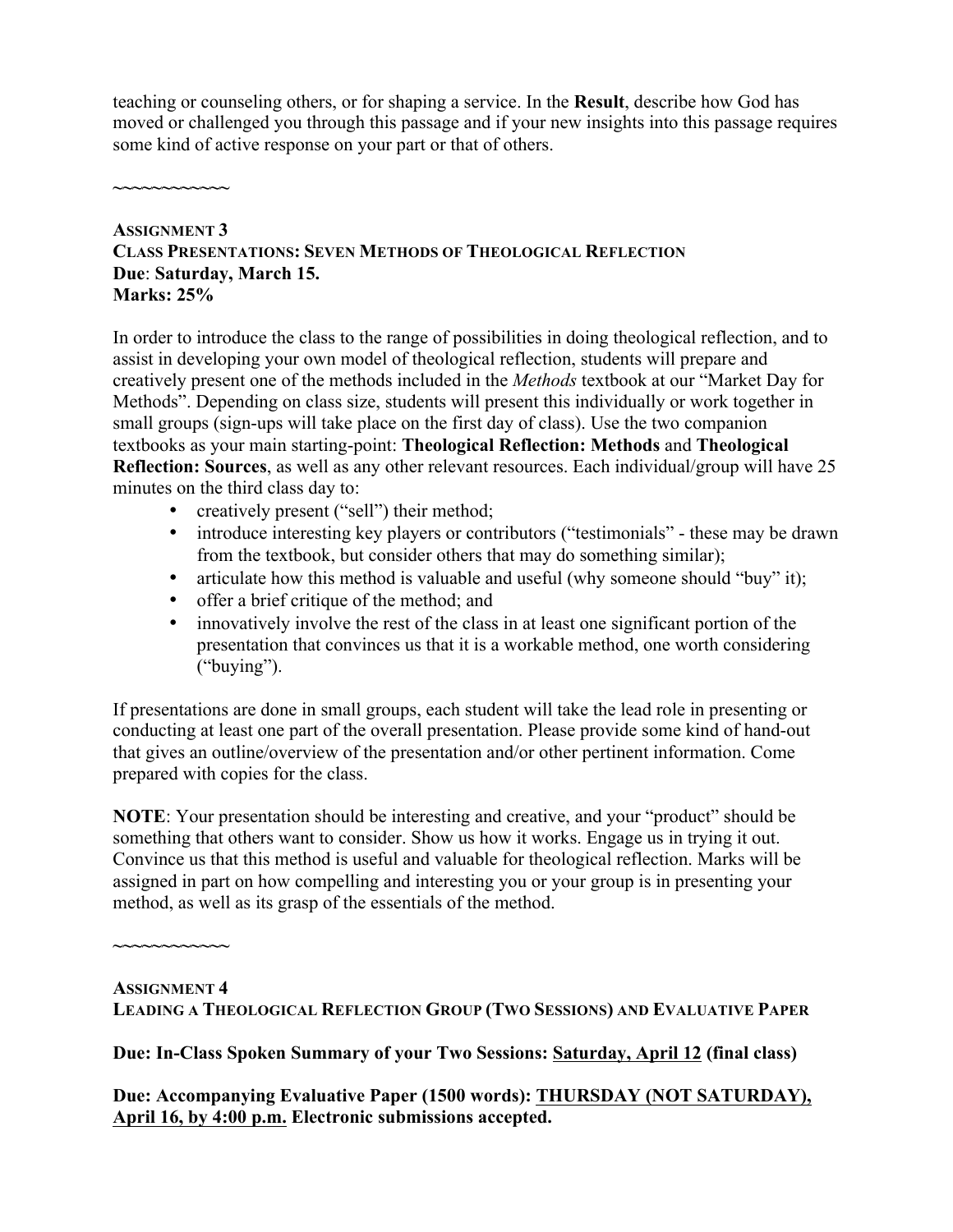teaching or counseling others, or for shaping a service. In the **Result**, describe how God has moved or challenged you through this passage and if your new insights into this passage requires some kind of active response on your part or that of others.

**~~~~~~~~~~~~**

### **ASSIGNMENT 3 CLASS PRESENTATIONS: SEVEN METHODS OF THEOLOGICAL REFLECTION Due**: **Saturday, March 15. Marks: 25%**

In order to introduce the class to the range of possibilities in doing theological reflection, and to assist in developing your own model of theological reflection, students will prepare and creatively present one of the methods included in the *Methods* textbook at our "Market Day for Methods". Depending on class size, students will present this individually or work together in small groups (sign-ups will take place on the first day of class). Use the two companion textbooks as your main starting-point: **Theological Reflection: Methods** and **Theological Reflection: Sources**, as well as any other relevant resources. Each individual/group will have 25 minutes on the third class day to:

- creatively present ("sell") their method;
- introduce interesting key players or contributors ("testimonials" these may be drawn from the textbook, but consider others that may do something similar);
- articulate how this method is valuable and useful (why someone should "buy" it);
- offer a brief critique of the method; and
- innovatively involve the rest of the class in at least one significant portion of the presentation that convinces us that it is a workable method, one worth considering ("buying").

If presentations are done in small groups, each student will take the lead role in presenting or conducting at least one part of the overall presentation. Please provide some kind of hand-out that gives an outline/overview of the presentation and/or other pertinent information. Come prepared with copies for the class.

**NOTE**: Your presentation should be interesting and creative, and your "product" should be something that others want to consider. Show us how it works. Engage us in trying it out. Convince us that this method is useful and valuable for theological reflection. Marks will be assigned in part on how compelling and interesting you or your group is in presenting your method, as well as its grasp of the essentials of the method.

**ASSIGNMENT 4**

**~~~~~~~~~~~~**

**LEADING A THEOLOGICAL REFLECTION GROUP (TWO SESSIONS) AND EVALUATIVE PAPER**

**Due: In-Class Spoken Summary of your Two Sessions: Saturday, April 12 (final class)**

**Due: Accompanying Evaluative Paper (1500 words): THURSDAY (NOT SATURDAY), April 16, by 4:00 p.m. Electronic submissions accepted.**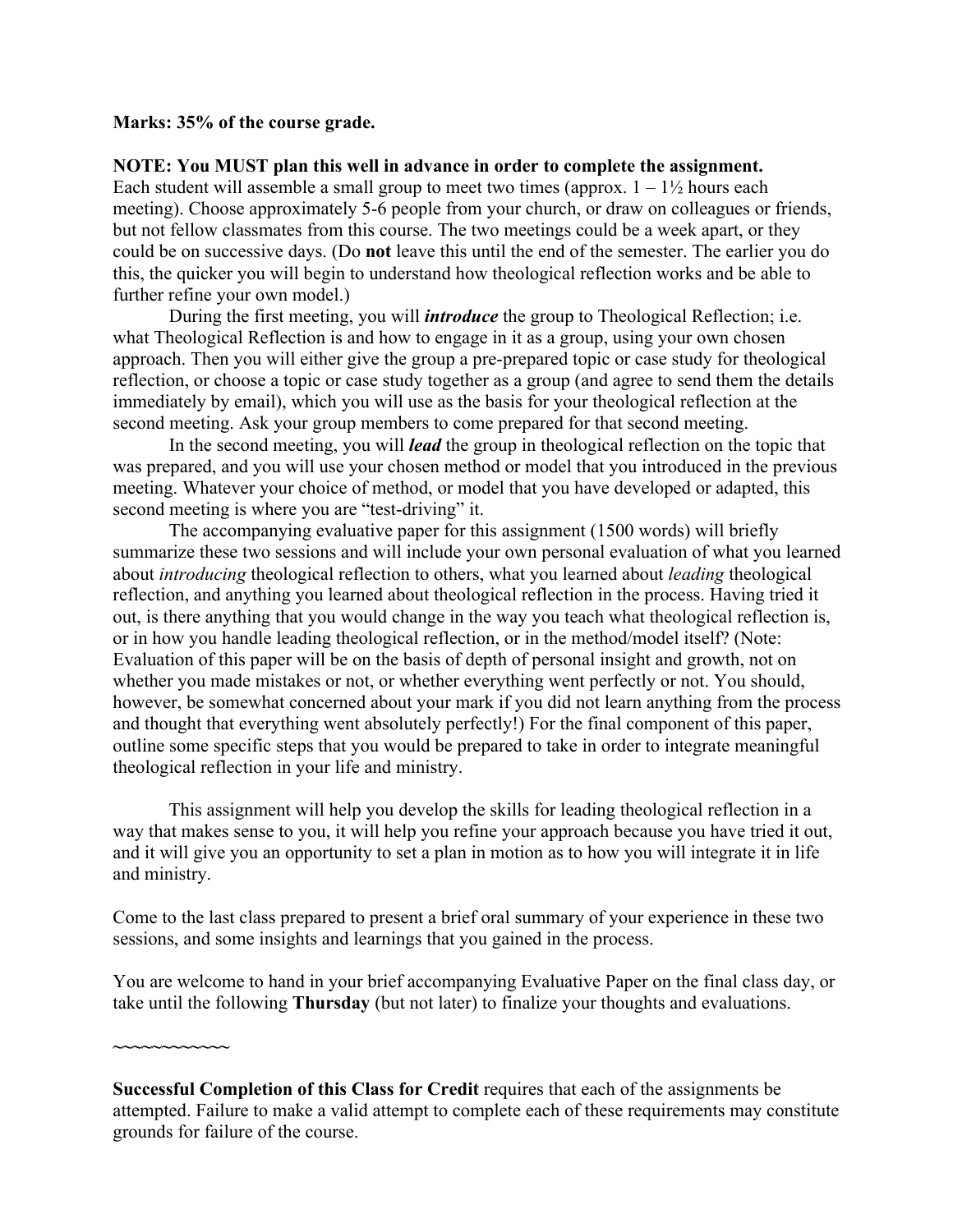#### **Marks: 35% of the course grade.**

### **NOTE: You MUST plan this well in advance in order to complete the assignment.**

Each student will assemble a small group to meet two times (approx.  $1 - 1\frac{1}{2}$  hours each meeting). Choose approximately 5-6 people from your church, or draw on colleagues or friends, but not fellow classmates from this course. The two meetings could be a week apart, or they could be on successive days. (Do **not** leave this until the end of the semester. The earlier you do this, the quicker you will begin to understand how theological reflection works and be able to further refine your own model.)

During the first meeting, you will *introduce* the group to Theological Reflection; i.e. what Theological Reflection is and how to engage in it as a group, using your own chosen approach. Then you will either give the group a pre-prepared topic or case study for theological reflection, or choose a topic or case study together as a group (and agree to send them the details immediately by email), which you will use as the basis for your theological reflection at the second meeting. Ask your group members to come prepared for that second meeting.

In the second meeting, you will *lead* the group in theological reflection on the topic that was prepared, and you will use your chosen method or model that you introduced in the previous meeting. Whatever your choice of method, or model that you have developed or adapted, this second meeting is where you are "test-driving" it.

The accompanying evaluative paper for this assignment (1500 words) will briefly summarize these two sessions and will include your own personal evaluation of what you learned about *introducing* theological reflection to others, what you learned about *leading* theological reflection, and anything you learned about theological reflection in the process. Having tried it out, is there anything that you would change in the way you teach what theological reflection is, or in how you handle leading theological reflection, or in the method/model itself? (Note: Evaluation of this paper will be on the basis of depth of personal insight and growth, not on whether you made mistakes or not, or whether everything went perfectly or not. You should, however, be somewhat concerned about your mark if you did not learn anything from the process and thought that everything went absolutely perfectly!) For the final component of this paper, outline some specific steps that you would be prepared to take in order to integrate meaningful theological reflection in your life and ministry.

This assignment will help you develop the skills for leading theological reflection in a way that makes sense to you, it will help you refine your approach because you have tried it out, and it will give you an opportunity to set a plan in motion as to how you will integrate it in life and ministry.

Come to the last class prepared to present a brief oral summary of your experience in these two sessions, and some insights and learnings that you gained in the process.

You are welcome to hand in your brief accompanying Evaluative Paper on the final class day, or take until the following **Thursday** (but not later) to finalize your thoughts and evaluations.

**~~~~~~~~~~~~**

**Successful Completion of this Class for Credit** requires that each of the assignments be attempted. Failure to make a valid attempt to complete each of these requirements may constitute grounds for failure of the course.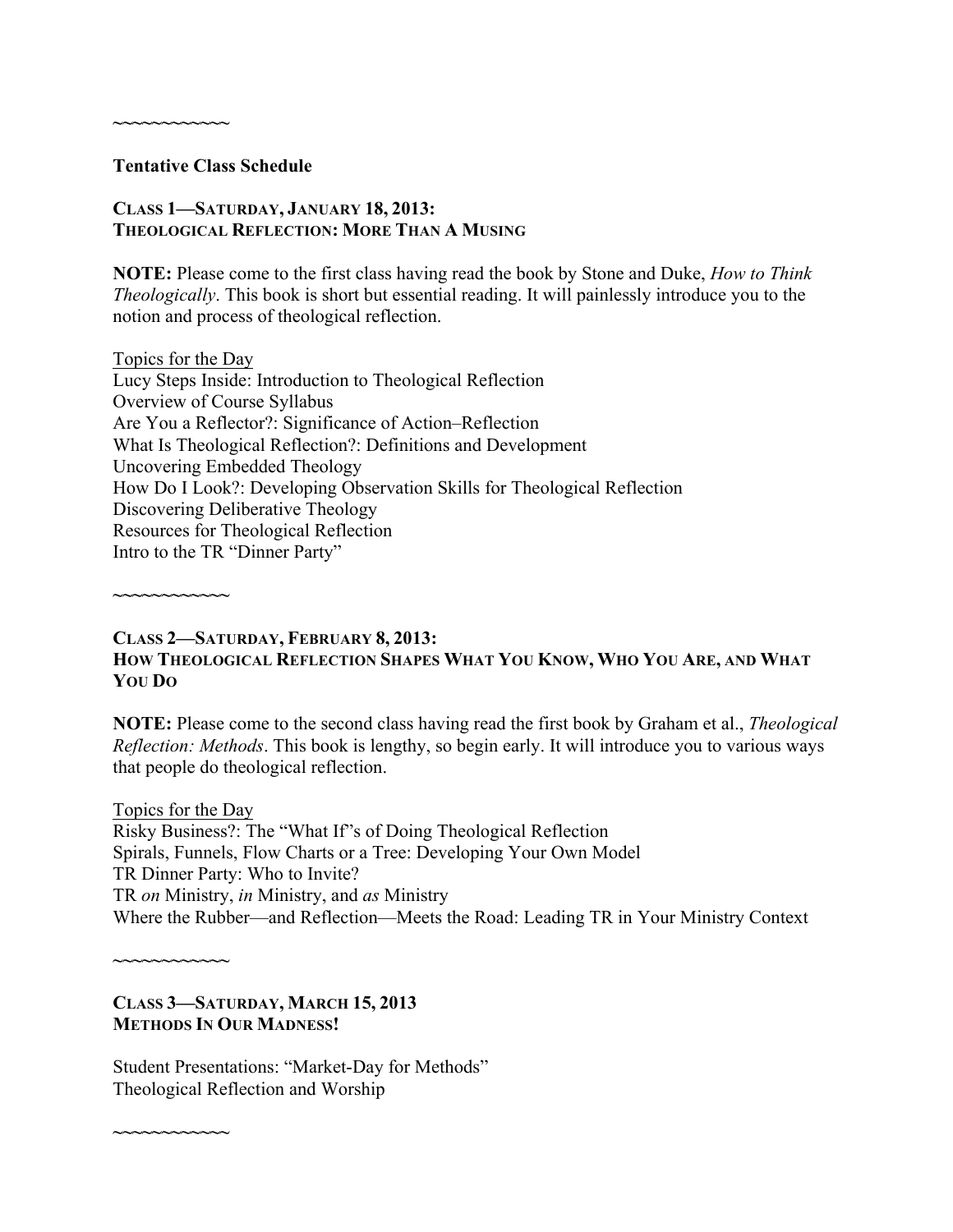### **Tentative Class Schedule**

**~~~~~~~~~~~~**

## **CLASS 1—SATURDAY, JANUARY 18, 2013: THEOLOGICAL REFLECTION: MORE THAN A MUSING**

**NOTE:** Please come to the first class having read the book by Stone and Duke, *How to Think Theologically*. This book is short but essential reading. It will painlessly introduce you to the notion and process of theological reflection.

Topics for the Day Lucy Steps Inside: Introduction to Theological Reflection Overview of Course Syllabus Are You a Reflector?: Significance of Action–Reflection What Is Theological Reflection?: Definitions and Development Uncovering Embedded Theology How Do I Look?: Developing Observation Skills for Theological Reflection Discovering Deliberative Theology Resources for Theological Reflection Intro to the TR "Dinner Party"

**~~~~~~~~~~~~**

### **CLASS 2—SATURDAY, FEBRUARY 8, 2013: HOW THEOLOGICAL REFLECTION SHAPES WHAT YOU KNOW, WHO YOU ARE, AND WHAT YOU DO**

**NOTE:** Please come to the second class having read the first book by Graham et al., *Theological Reflection: Methods*. This book is lengthy, so begin early. It will introduce you to various ways that people do theological reflection.

Topics for the Day Risky Business?: The "What If"s of Doing Theological Reflection Spirals, Funnels, Flow Charts or a Tree: Developing Your Own Model TR Dinner Party: Who to Invite? TR *on* Ministry, *in* Ministry, and *as* Ministry Where the Rubber—and Reflection—Meets the Road: Leading TR in Your Ministry Context

**~~~~~~~~~~~~**

**~~~~~~~~~~~~**

**CLASS 3—SATURDAY, MARCH 15, 2013 METHODS IN OUR MADNESS!**

Student Presentations: "Market-Day for Methods" Theological Reflection and Worship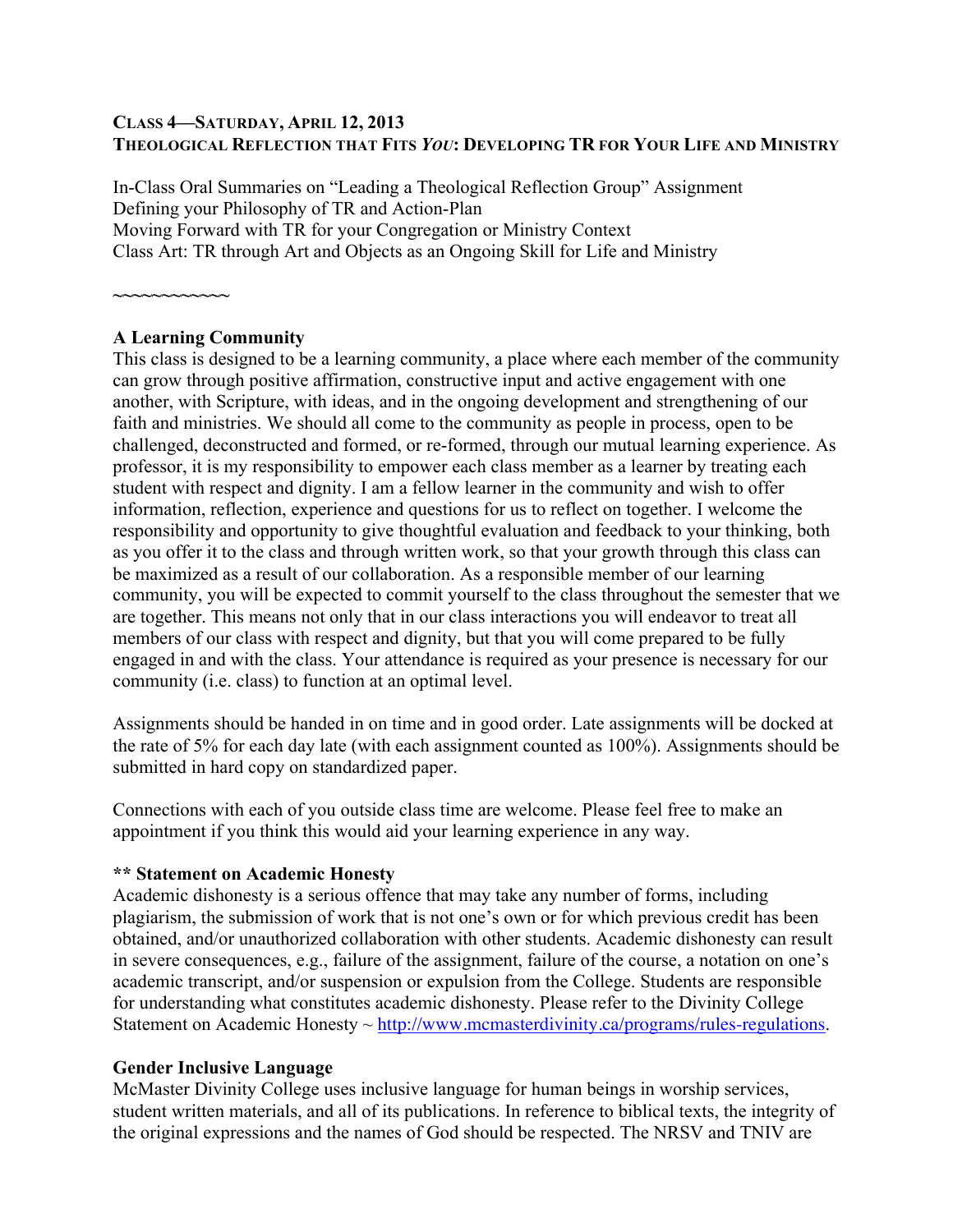### **CLASS 4—SATURDAY, APRIL 12, 2013 THEOLOGICAL REFLECTION THAT FITS** *YOU***: DEVELOPING TR FOR YOUR LIFE AND MINISTRY**

In-Class Oral Summaries on "Leading a Theological Reflection Group" Assignment Defining your Philosophy of TR and Action-Plan Moving Forward with TR for your Congregation or Ministry Context Class Art: TR through Art and Objects as an Ongoing Skill for Life and Ministry

**~~~~~~~~~~~~**

### **A Learning Community**

This class is designed to be a learning community, a place where each member of the community can grow through positive affirmation, constructive input and active engagement with one another, with Scripture, with ideas, and in the ongoing development and strengthening of our faith and ministries. We should all come to the community as people in process, open to be challenged, deconstructed and formed, or re-formed, through our mutual learning experience. As professor, it is my responsibility to empower each class member as a learner by treating each student with respect and dignity. I am a fellow learner in the community and wish to offer information, reflection, experience and questions for us to reflect on together. I welcome the responsibility and opportunity to give thoughtful evaluation and feedback to your thinking, both as you offer it to the class and through written work, so that your growth through this class can be maximized as a result of our collaboration. As a responsible member of our learning community, you will be expected to commit yourself to the class throughout the semester that we are together. This means not only that in our class interactions you will endeavor to treat all members of our class with respect and dignity, but that you will come prepared to be fully engaged in and with the class. Your attendance is required as your presence is necessary for our community (i.e. class) to function at an optimal level.

Assignments should be handed in on time and in good order. Late assignments will be docked at the rate of 5% for each day late (with each assignment counted as 100%). Assignments should be submitted in hard copy on standardized paper.

Connections with each of you outside class time are welcome. Please feel free to make an appointment if you think this would aid your learning experience in any way.

#### **\*\* Statement on Academic Honesty**

Academic dishonesty is a serious offence that may take any number of forms, including plagiarism, the submission of work that is not one's own or for which previous credit has been obtained, and/or unauthorized collaboration with other students. Academic dishonesty can result in severe consequences, e.g., failure of the assignment, failure of the course, a notation on one's academic transcript, and/or suspension or expulsion from the College. Students are responsible for understanding what constitutes academic dishonesty. Please refer to the Divinity College Statement on Academic Honesty ~ http://www.mcmasterdivinity.ca/programs/rules-regulations.

### **Gender Inclusive Language**

McMaster Divinity College uses inclusive language for human beings in worship services, student written materials, and all of its publications. In reference to biblical texts, the integrity of the original expressions and the names of God should be respected. The NRSV and TNIV are